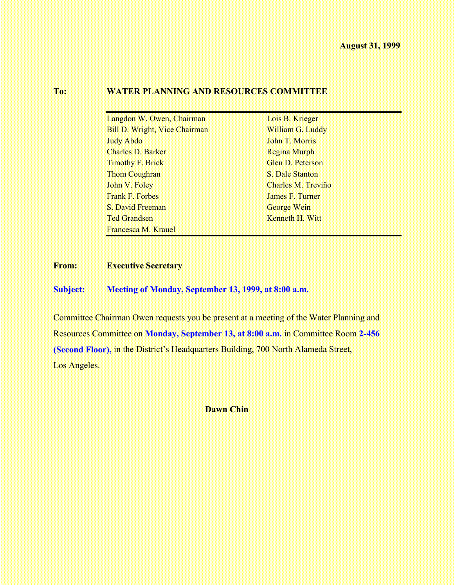# **To: WATER PLANNING AND RESOURCES COMMITTEE**

| Langdon W. Owen, Chairman            | Lois B. Krieger    |  |
|--------------------------------------|--------------------|--|
| <b>Bill D. Wright, Vice Chairman</b> | William G. Luddy   |  |
| <b>Judy Abdo</b>                     | John T. Morris     |  |
| <b>Charles D. Barker</b>             | Regina Murph       |  |
| Timothy F. Brick                     | Glen D. Peterson   |  |
| Thom Coughran                        | S. Dale Stanton    |  |
| John V. Foley                        | Charles M. Treviño |  |
| Frank F. Forbes                      | James F. Turner    |  |
| S. David Freeman                     | George Wein        |  |
| <b>Ted Grandsen</b>                  | Kenneth H. Witt    |  |
| Francesca M. Krauel                  |                    |  |

# **From: Executive Secretary**

**Subject: Meeting of Monday, September 13, 1999, at 8:00 a.m.**

Committee Chairman Owen requests you be present at a meeting of the Water Planning and Resources Committee on **Monday, September 13, at 8:00 a.m.** in Committee Room **2-456 (Second Floor),** in the District's Headquarters Building, 700 North Alameda Street, Los Angeles.

**Dawn Chin**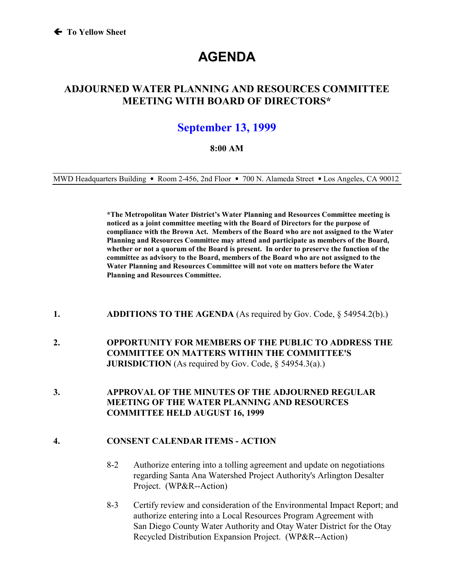# **AGENDA**

# **ADJOURNED WATER PLANNING AND RESOURCES COMMITTEE MEETING WITH BOARD OF DIRECTORS\***

# **September 13, 1999**

### **8:00 AM**

MWD Headquarters Building • Room 2-456, 2nd Floor • 700 N. Alameda Street • Los Angeles, CA 90012

**\*The Metropolitan Water District's Water Planning and Resources Committee meeting is noticed as a joint committee meeting with the Board of Directors for the purpose of compliance with the Brown Act. Members of the Board who are not assigned to the Water Planning and Resources Committee may attend and participate as members of the Board, whether or not a quorum of the Board is present. In order to preserve the function of the committee as advisory to the Board, members of the Board who are not assigned to the Water Planning and Resources Committee will not vote on matters before the Water Planning and Resources Committee.**

#### **1. ADDITIONS TO THE AGENDA** (As required by Gov. Code, § 54954.2(b).)

- **2. OPPORTUNITY FOR MEMBERS OF THE PUBLIC TO ADDRESS THE COMMITTEE ON MATTERS WITHIN THE COMMITTEE'S JURISDICTION** (As required by Gov. Code, § 54954.3(a).)
- **3. APPROVAL OF THE MINUTES OF THE ADJOURNED REGULAR MEETING OF THE WATER PLANNING AND RESOURCES COMMITTEE HELD AUGUST 16, 1999**

#### **4. CONSENT CALENDAR ITEMS - ACTION**

- 8-2 Authorize entering into a tolling agreement and update on negotiations regarding Santa Ana Watershed Project Authority's Arlington Desalter Project. (WP&R--Action)
- 8-3 Certify review and consideration of the Environmental Impact Report; and authorize entering into a Local Resources Program Agreement with San Diego County Water Authority and Otay Water District for the Otay Recycled Distribution Expansion Project. (WP&R--Action)